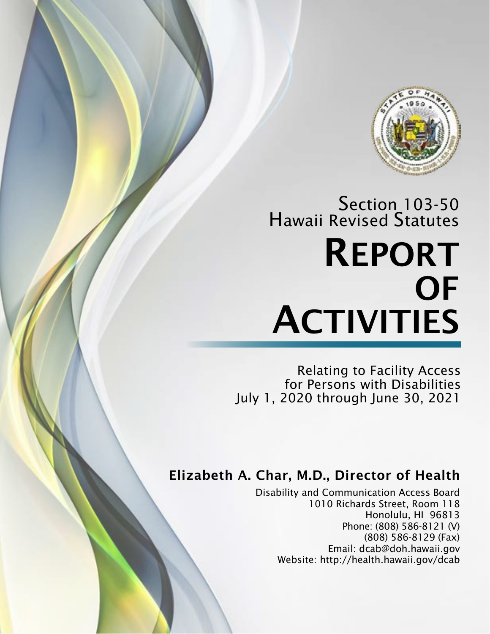

# Section<sub>2103</sub>-50 Hawaii Revised Statutes REPORT **OF ACTIVITIES**

Relating to Facility Access for Persons with Disabilities July 1, 2020 through June 30, 2021

### Elizabeth A. Char, M.D., Director of Health

Disability and Communication Access Board 1010 Richards Street, Room 118 Honolulu, HI 96813 Phone: (808) 586-8121 (V) (808) 586-8129 (Fax) Email: dcab@doh.hawaii.gov Website: http://health.hawaii.gov/dcab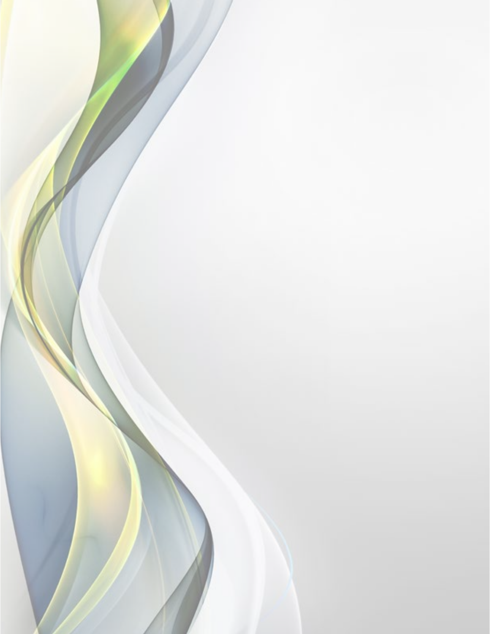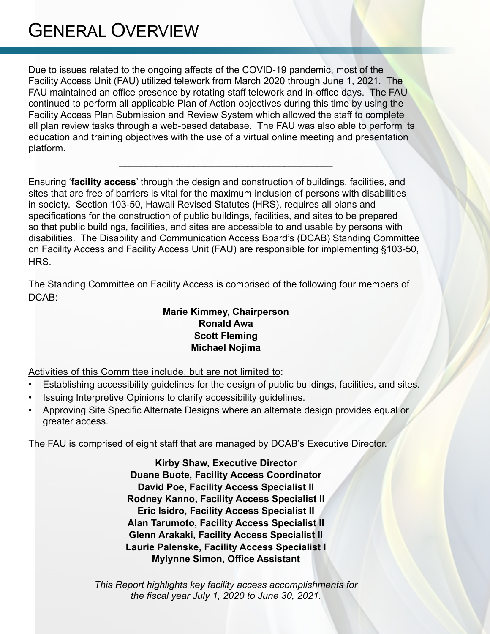## GENERAL OVERVIEW

Due to issues related to the ongoing affects of the COVID-19 pandemic, most of the Facility Access Unit (FAU) utilized telework from March 2020 through June 1, 2021. The FAU maintained an office presence by rotating staff telework and in-office days. The FAU continued to perform all applicable Plan of Action objectives during this time by using the Facility Access Plan Submission and Review System which allowed the staff to complete all plan review tasks through a web-based database. The FAU was also able to perform its education and training objectives with the use of a virtual online meeting and presentation platform.

Ensuring '**facility access**' through the design and construction of buildings, facilities, and sites that are free of barriers is vital for the maximum inclusion of persons with disabilities in society. Section 103-50, Hawaii Revised Statutes (HRS), requires all plans and specifications for the construction of public buildings, facilities, and sites to be prepared so that public buildings, facilities, and sites are accessible to and usable by persons with disabilities. The Disability and Communication Access Board's (DCAB) Standing Committee on Facility Access and Facility Access Unit (FAU) are responsible for implementing §103-50, HRS.

\_\_\_\_\_\_\_\_\_\_\_\_\_\_\_\_\_\_\_\_\_\_\_\_\_\_\_\_\_\_\_\_\_\_\_\_\_\_\_\_

The Standing Committee on Facility Access is comprised of the following four members of DCAB:

#### **Marie Kimmey, Chairperson Ronald Awa Scott Fleming Michael Nojima**

Activities of this Committee include, but are not limited to:

- Establishing accessibility guidelines for the design of public buildings, facilities, and sites.
- Issuing Interpretive Opinions to clarify accessibility guidelines.
- Approving Site Specific Alternate Designs where an alternate design provides equal or greater access.

The FAU is comprised of eight staff that are managed by DCAB's Executive Director.

**Kirby Shaw, Executive Director Duane Buote, Facility Access Coordinator David Poe, Facility Access Specialist II Rodney Kanno, Facility Access Specialist II Eric Isidro, Facility Access Specialist II Alan Tarumoto, Facility Access Specialist II Glenn Arakaki, Facility Access Specialist II Laurie Palenske, Facility Access Specialist I Mylynne Simon, Office Assistant**

*This Report highlights key facility access accomplishments for the fiscal year July 1, 2020 to June 30, 2021.*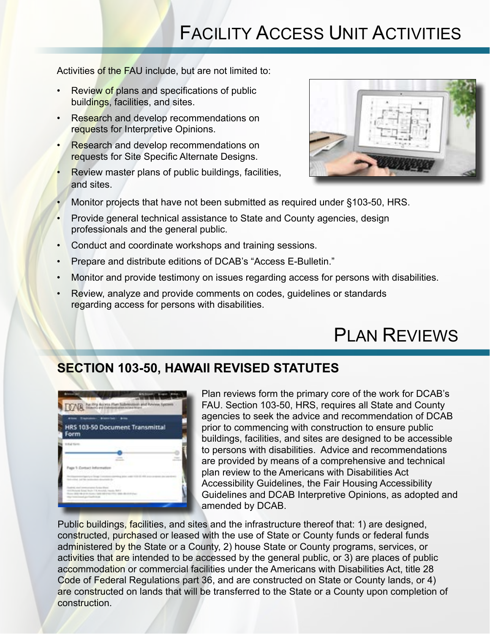## FACILITY ACCESS UNIT ACTIVITIES

Activities of the FAU include, but are not limited to:

- Review of plans and specifications of public buildings, facilities, and sites.
- Research and develop recommendations on requests for Interpretive Opinions.
- Research and develop recommendations on requests for Site Specific Alternate Designs.
- Review master plans of public buildings, facilities, and sites.



- Monitor projects that have not been submitted as required under §103-50, HRS.
- Provide general technical assistance to State and County agencies, design professionals and the general public.
- Conduct and coordinate workshops and training sessions.
- Prepare and distribute editions of DCAB's "Access E-Bulletin."
- Monitor and provide testimony on issues regarding access for persons with disabilities.
- Review, analyze and provide comments on codes, guidelines or standards regarding access for persons with disabilities.

## PLAN REVIEWS

### **SECTION 103-50, HAWAII REVISED STATUTES**



Plan reviews form the primary core of the work for DCAB's FAU. Section 103-50, HRS, requires all State and County agencies to seek the advice and recommendation of DCAB prior to commencing with construction to ensure public buildings, facilities, and sites are designed to be accessible to persons with disabilities. Advice and recommendations are provided by means of a comprehensive and technical plan review to the Americans with Disabilities Act Accessibility Guidelines, the Fair Housing Accessibility Guidelines and DCAB Interpretive Opinions, as adopted and amended by DCAB.

Public buildings, facilities, and sites and the infrastructure thereof that: 1) are designed, constructed, purchased or leased with the use of State or County funds or federal funds administered by the State or a County, 2) house State or County programs, services, or activities that are intended to be accessed by the general public, or 3) are places of public accommodation or commercial facilities under the Americans with Disabilities Act, title 28 Code of Federal Regulations part 36, and are constructed on State or County lands, or 4) are constructed on lands that will be transferred to the State or a County upon completion of construction.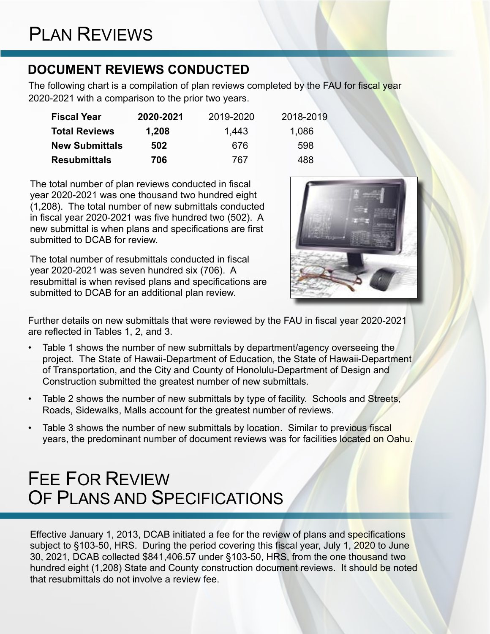### **DOCUMENT REVIEWS CONDUCTED**

The following chart is a compilation of plan reviews completed by the FAU for fiscal year 2020-2021 with a comparison to the prior two years.

| <b>Fiscal Year</b>    | 2020-2021 | 2019-2020 | 2018-2019 |
|-----------------------|-----------|-----------|-----------|
| <b>Total Reviews</b>  | 1,208     | 1,443     | 1,086     |
| <b>New Submittals</b> | 502       | 676       | 598       |
| <b>Resubmittals</b>   | 706       | 767       | 488       |

The total number of plan reviews conducted in fiscal year 2020-2021 was one thousand two hundred eight (1,208). The total number of new submittals conducted in fiscal year 2020-2021 was five hundred two (502). A new submittal is when plans and specifications are first submitted to DCAB for review

The total number of resubmittals conducted in fiscal year 2020-2021 was seven hundred six (706). A resubmittal is when revised plans and specifications are submitted to DCAB for an additional plan review.



Further details on new submittals that were reviewed by the FAU in fiscal year 2020-2021 are reflected in Tables 1, 2, and 3.

- Table 1 shows the number of new submittals by department/agency overseeing the project. The State of Hawaii-Department of Education, the State of Hawaii-Department of Transportation, and the City and County of Honolulu-Department of Design and Construction submitted the greatest number of new submittals.
- Table 2 shows the number of new submittals by type of facility. Schools and Streets, Roads, Sidewalks, Malls account for the greatest number of reviews.
- Table 3 shows the number of new submittals by location. Similar to previous fiscal years, the predominant number of document reviews was for facilities located on Oahu.

### FEE FOR REVIEW OF PLANS AND SPECIFICATIONS

Effective January 1, 2013, DCAB initiated a fee for the review of plans and specifications subject to §103-50, HRS. During the period covering this fiscal year, July 1, 2020 to June 30, 2021, DCAB collected \$841,406.57 under §103-50, HRS, from the one thousand two hundred eight (1,208) State and County construction document reviews. It should be noted that resubmittals do not involve a review fee.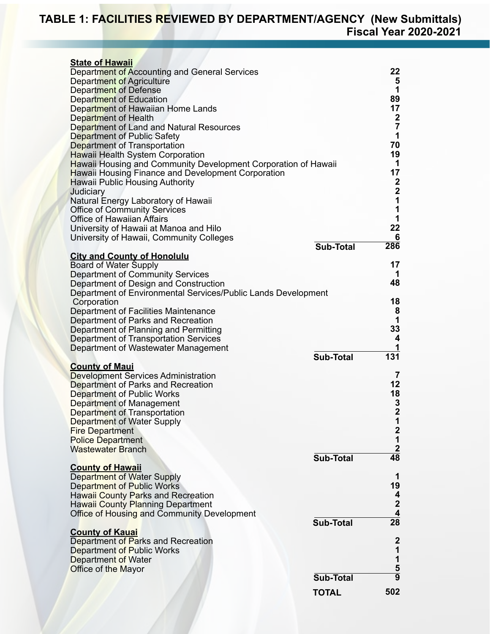### **TABLE 1: FACILITIES REVIEWED BY DEPARTMENT/AGENCY (New Submittals) Fiscal Year 2020-2021**

| <b>State of Hawaii</b>                                         |                  |                         |
|----------------------------------------------------------------|------------------|-------------------------|
| Department of Accounting and General Services                  |                  | 22                      |
| Department of Agriculture                                      |                  | 5                       |
| Department of Defense                                          |                  | 1                       |
| Department of Education                                        |                  | 89                      |
| Department of Hawaiian Home Lands                              |                  | 17                      |
| Department of Health                                           |                  | $\boldsymbol{2}$        |
| Department of Land and Natural Resources                       |                  | $\overline{7}$          |
| Department of Public Safety                                    |                  | 1                       |
| Department of Transportation                                   |                  | 70                      |
| Hawaii Health System Corporation                               |                  | 19                      |
| Hawaii Housing and Community Development Corporation of Hawaii |                  | 1                       |
| <b>Hawaii Housing Finance and Development Corporation</b>      |                  | 17                      |
| Hawaii Public Housing Authority                                |                  | $\mathbf{2}$            |
| Judiciary                                                      |                  | $\overline{2}$          |
|                                                                |                  | 1                       |
| Natural Energy Laboratory of Hawaii                            |                  | 1                       |
| <b>Office of Community Services</b>                            |                  | 1                       |
| <b>Office of Hawaiian Affairs</b>                              |                  | 22                      |
| University of Hawaii at Manoa and Hilo                         |                  |                         |
| University of Hawaii, Community Colleges                       |                  | 6                       |
|                                                                | Sub-Total        | 286                     |
| <b>City and County of Honolulu</b>                             |                  |                         |
| <b>Board of Water Supply</b>                                   |                  | 17                      |
| <b>Department of Community Services</b>                        |                  | 1                       |
| Department of Design and Construction                          |                  | 48                      |
| Department of Environmental Services/Public Lands Development  |                  |                         |
| Corporation                                                    |                  | 18                      |
| Department of Facilities Maintenance                           |                  | 8                       |
| Department of Parks and Recreation                             |                  | 1                       |
| Department of Planning and Permitting                          |                  | 33                      |
| Department of Transportation Services                          |                  | 4                       |
| Department of Wastewater Management                            |                  |                         |
|                                                                | <b>Sub-Total</b> | 131                     |
| <b>County of Maui</b>                                          |                  |                         |
| <b>Development Services Administration</b>                     |                  | 7                       |
| Department of Parks and Recreation                             |                  | 12                      |
| Department of Public Works                                     |                  | 18                      |
| Department of Management                                       |                  | 3                       |
| Department of Transportation                                   |                  | $\overline{2}$          |
| Department of Water Supply                                     |                  | 1                       |
| <b>Fire Department</b>                                         |                  | $\mathbf 2$             |
| <b>Police Department</b>                                       |                  | 1                       |
| <b>Wastewater Branch</b>                                       |                  | $\overline{2}$          |
|                                                                | <b>Sub-Total</b> | 48                      |
| <b>County of Hawaii</b>                                        |                  |                         |
| Department of Water Supply                                     |                  | 1                       |
| Department of Public Works                                     |                  | 19                      |
| <b>Hawaii County Parks and Recreation</b>                      |                  | 4                       |
| <b>Hawaii County Planning Department</b>                       |                  | $\overline{2}$          |
| Office of Housing and Community Development                    |                  | $\overline{\mathbf{4}}$ |
|                                                                | <b>Sub-Total</b> | $\overline{28}$         |
| <b>County of Kauai</b>                                         |                  |                         |
| Department of Parks and Recreation                             |                  | $\boldsymbol{2}$        |
| Department of Public Works                                     |                  | 1                       |
| <b>Department of Water</b>                                     |                  | 1                       |
| Office of the Mayor                                            |                  | 5                       |
|                                                                | <b>Sub-Total</b> | $\overline{9}$          |
|                                                                |                  |                         |
|                                                                | <b>TOTAL</b>     | 502                     |
|                                                                |                  |                         |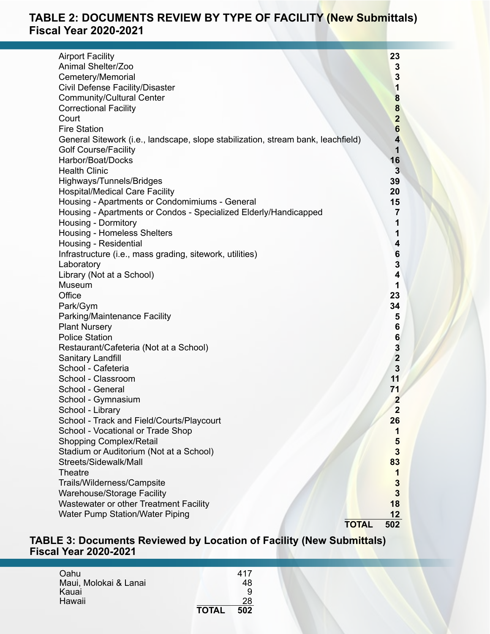### **TABLE 2: DOCUMENTS REVIEW BY TYPE OF FACILITY (New Submittals) Fiscal Year 2020-2021**

| <b>Airport Facility</b>                                                                                            |              | 23                            |
|--------------------------------------------------------------------------------------------------------------------|--------------|-------------------------------|
| Animal Shelter/Zoo                                                                                                 |              | 3                             |
| Cemetery/Memorial                                                                                                  |              | 3                             |
| Civil Defense Facility/Disaster                                                                                    |              | 1                             |
| <b>Community/Cultural Center</b>                                                                                   |              | 8                             |
| <b>Correctional Facility</b>                                                                                       |              | 8                             |
| Court                                                                                                              |              | $\overline{\mathbf{2}}$       |
| <b>Fire Station</b>                                                                                                |              | $6\phantom{1}6$               |
| General Sitework (i.e., landscape, slope stabilization, stream bank, leachfield)                                   |              | $\overline{\mathbf{4}}$       |
| <b>Golf Course/Facility</b><br>Harbor/Boat/Docks                                                                   |              | 1                             |
| <b>Health Clinic</b>                                                                                               |              | 16<br>$\overline{\mathbf{3}}$ |
|                                                                                                                    |              |                               |
| Highways/Tunnels/Bridges                                                                                           |              | 39                            |
| <b>Hospital/Medical Care Facility</b>                                                                              |              | 20                            |
| Housing - Apartments or Condomimiums - General<br>Housing - Apartments or Condos - Specialized Elderly/Handicapped |              | 15                            |
| Housing - Dormitory                                                                                                |              | 7<br>1                        |
| Housing - Homeless Shelters                                                                                        |              | 1                             |
| Housing - Residential                                                                                              |              | $\overline{\mathbf{4}}$       |
| Infrastructure (i.e., mass grading, sitework, utilities)                                                           |              |                               |
| Laboratory                                                                                                         |              | 6<br>3                        |
| Library (Not at a School)                                                                                          |              | $\overline{\mathbf{4}}$       |
| <b>Museum</b>                                                                                                      |              | 1                             |
| Office                                                                                                             |              | 23                            |
| Park/Gym                                                                                                           |              | 34                            |
| <b>Parking/Maintenance Facility</b>                                                                                |              | 5                             |
| <b>Plant Nursery</b>                                                                                               |              | 6                             |
| <b>Police Station</b>                                                                                              |              | $6\phantom{1}6$               |
| Restaurant/Cafeteria (Not at a School)                                                                             |              |                               |
| Sanitary Landfill                                                                                                  |              | $\frac{3}{2}$                 |
| School - Cafeteria                                                                                                 |              | $\mathbf{3}$                  |
| School - Classroom                                                                                                 |              | 11                            |
| School - General                                                                                                   |              | 71                            |
| School - Gymnasium                                                                                                 |              | $\overline{2}$                |
| School - Library                                                                                                   |              | $\boldsymbol{2}$              |
| School - Track and Field/Courts/Playcourt                                                                          |              | 26                            |
| School - Vocational or Trade Shop                                                                                  |              | 1                             |
| <b>Shopping Complex/Retail</b>                                                                                     |              | 5                             |
| Stadium or Auditorium (Not at a School)                                                                            |              | $\mathbf{3}$                  |
| Streets/Sidewalk/Mall                                                                                              |              | 83                            |
| Theatre                                                                                                            |              | $\mathbf 1$                   |
| Trails/Wilderness/Campsite                                                                                         |              |                               |
| <b>Warehouse/Storage Facility</b>                                                                                  |              | $\frac{3}{3}$                 |
| Wastewater or other Treatment Facility                                                                             |              | 18                            |
| <b>Water Pump Station/Water Piping</b>                                                                             |              | 12                            |
|                                                                                                                    | <b>TOTAL</b> | 502                           |

#### **TABLE 3: Documents Reviewed by Location of Facility (New Submittals) Fiscal Year 2020-2021**

| Oahu                  |              | 417 |
|-----------------------|--------------|-----|
| Maui, Molokai & Lanai |              | 48  |
| Kauai                 |              | 9   |
| Hawaii                |              | 28  |
|                       | <b>TOTAL</b> | 502 |

I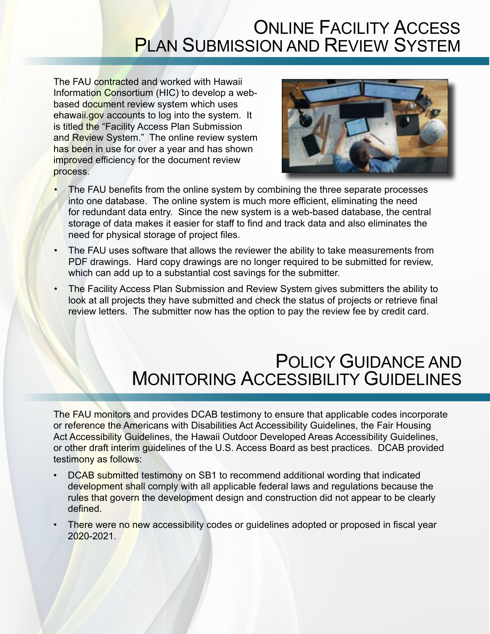### ONLINE FACILITY ACCESS PLAN SUBMISSION AND REVIEW SYSTEM

The FAU contracted and worked with Hawaii Information Consortium (HIC) to develop a webbased document review system which uses ehawaii.gov accounts to log into the system. It is titled the "Facility Access Plan Submission and Review System." The online review system has been in use for over a year and has shown improved efficiency for the document review process.



- The FAU benefits from the online system by combining the three separate processes into one database. The online system is much more efficient, eliminating the need for redundant data entry. Since the new system is a web-based database, the central storage of data makes it easier for staff to find and track data and also eliminates the need for physical storage of project files.
- The FAU uses software that allows the reviewer the ability to take measurements from PDF drawings. Hard copy drawings are no longer required to be submitted for review, which can add up to a substantial cost savings for the submitter.
- The Facility Access Plan Submission and Review System gives submitters the ability to look at all projects they have submitted and check the status of projects or retrieve final review letters. The submitter now has the option to pay the review fee by credit card.

### POLICY GUIDANCE AND MONITORING ACCESSIBILITY GUIDELINES

The FAU monitors and provides DCAB testimony to ensure that applicable codes incorporate or reference the Americans with Disabilities Act Accessibility Guidelines, the Fair Housing Act Accessibility Guidelines, the Hawaii Outdoor Developed Areas Accessibility Guidelines, or other draft interim guidelines of the U.S. Access Board as best practices. DCAB provided testimony as follows:

- DCAB submitted testimony on SB1 to recommend additional wording that indicated development shall comply with all applicable federal laws and regulations because the rules that govern the development design and construction did not appear to be clearly defined.
- There were no new accessibility codes or guidelines adopted or proposed in fiscal year 2020-2021.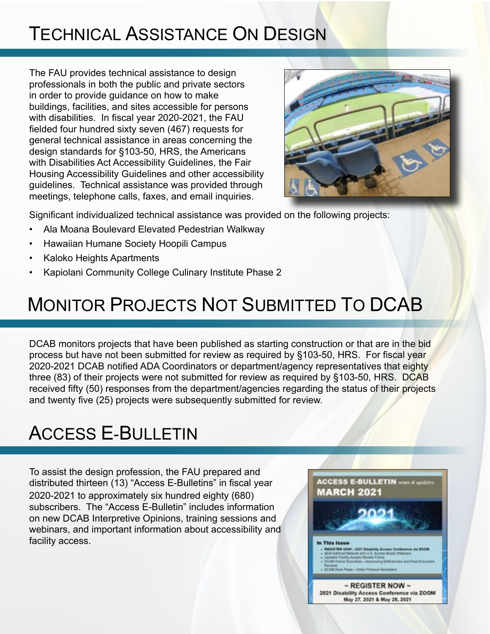## TECHNICAL ASSISTANCE ON DESIGN

The FAU provides technical assistance to design professionals in both the public and private sectors in order to provide guidance on how to make buildings, facilities, and sites accessible for persons with disabilities. In fiscal year 2020-2021, the FAU fielded four hundred sixty seven (467) requests for general technical assistance in areas concerning the design standards for §103-50, HRS, the Americans with Disabilities Act Accessibility Guidelines, the Fair Housing Accessibility Guidelines and other accessibility guidelines. Technical assistance was provided through meetings, telephone calls, faxes, and email inquiries.



Significant individualized technical assistance was provided on the following projects:

- Ala Moana Boulevard Elevated Pedestrian Walkway
- Hawaiian Humane Society Hoopili Campus
- Kaloko Heights Apartments
- Kapiolani Community College Culinary Institute Phase 2

## MONITOR PROJECTS NOT SUBMITTED TO DCAB

DCAB monitors projects that have been published as starting construction or that are in the bid process but have not been submitted for review as required by §103-50, HRS. For fiscal year 2020-2021 DCAB notified ADA Coordinators or department/agency representatives that eighty three (83) of their projects were not submitted for review as required by §103-50, HRS. DCAB received fifty (50) responses from the department/agencies regarding the status of their projects and twenty five (25) projects were subsequently submitted for review.

## ACCESS E-BULLETIN

To assist the design profession, the FAU prepared and distributed thirteen (13) "Access E-Bulletins" in fiscal year 2020-2021 to approximately six hundred eighty (680) subscribers. The "Access E-Bulletin" includes information on new DCAB Interpretive Opinions, training sessions and webinars, and important information about accessibility and facility access.

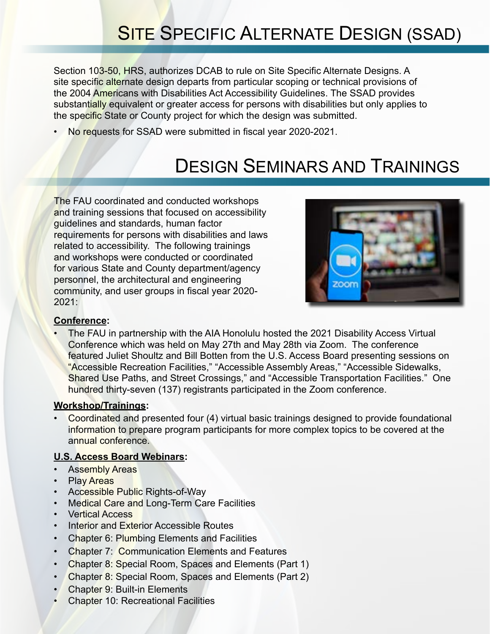Section 103-50, HRS, authorizes DCAB to rule on Site Specific Alternate Designs. A site specific alternate design departs from particular scoping or technical provisions of the 2004 Americans with Disabilities Act Accessibility Guidelines. The SSAD provides substantially equivalent or greater access for persons with disabilities but only applies to the specific State or County project for which the design was submitted.

• No requests for SSAD were submitted in fiscal year 2020-2021.

## DESIGN SEMINARS AND TRAININGS

The FAU coordinated and conducted workshops and training sessions that focused on accessibility guidelines and standards, human factor requirements for persons with disabilities and laws related to accessibility. The following trainings and workshops were conducted or coordinated for various State and County department/agency personnel, the architectural and engineering community, and user groups in fiscal year 2020- 2021:



#### **Conference:**

The FAU in partnership with the AIA Honolulu hosted the 2021 Disability Access Virtual Conference which was held on May 27th and May 28th via Zoom. The conference featured Juliet Shoultz and Bill Botten from the U.S. Access Board presenting sessions on "Accessible Recreation Facilities," "Accessible Assembly Areas," "Accessible Sidewalks, Shared Use Paths, and Street Crossings," and "Accessible Transportation Facilities." One hundred thirty-seven (137) registrants participated in the Zoom conference.

#### **Workshop/Trainings:**

• Coordinated and presented four (4) virtual basic trainings designed to provide foundational information to prepare program participants for more complex topics to be covered at the annual conference.

#### **U.S. Access Board Webinars:**

- Assembly Areas
- Play Areas
- Accessible Public Rights-of-Way
- Medical Care and Long-Term Care Facilities
- Vertical Access
- **Interior and Exterior Accessible Routes**
- Chapter 6: Plumbing Elements and Facilities
- **Chapter 7: Communication Elements and Features**
- Chapter 8: Special Room, Spaces and Elements (Part 1)
- Chapter 8: Special Room, Spaces and Elements (Part 2)
- Chapter 9: Built-in Elements
- Chapter 10: Recreational Facilities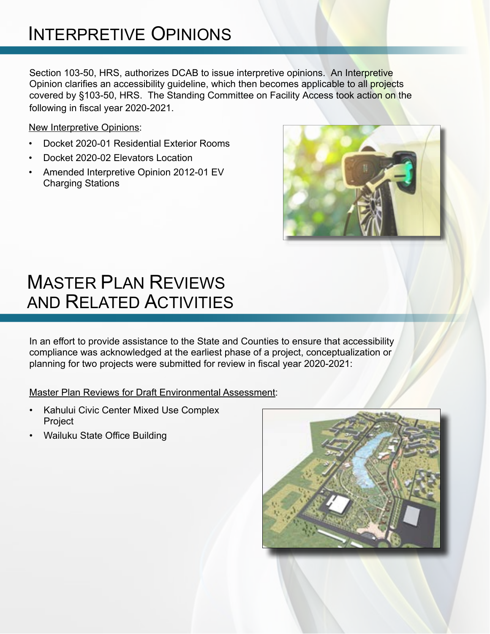### INTERPRETIVE OPINIONS

Section 103-50, HRS, authorizes DCAB to issue interpretive opinions. An Interpretive Opinion clarifies an accessibility guideline, which then becomes applicable to all projects covered by §103-50, HRS. The Standing Committee on Facility Access took action on the following in fiscal year 2020-2021.

New Interpretive Opinions:

- Docket 2020-01 Residential Exterior Rooms
- Docket 2020-02 Elevators Location
- Amended Interpretive Opinion 2012-01 EV Charging Stations



### MASTER PLAN REVIEWS AND RELATED ACTIVITIES

In an effort to provide assistance to the State and Counties to ensure that accessibility compliance was acknowledged at the earliest phase of a project, conceptualization or planning for two projects were submitted for review in fiscal year 2020-2021:

Master Plan Reviews for Draft Environmental Assessment:

- Kahului Civic Center Mixed Use Complex Project
- Wailuku State Office Building